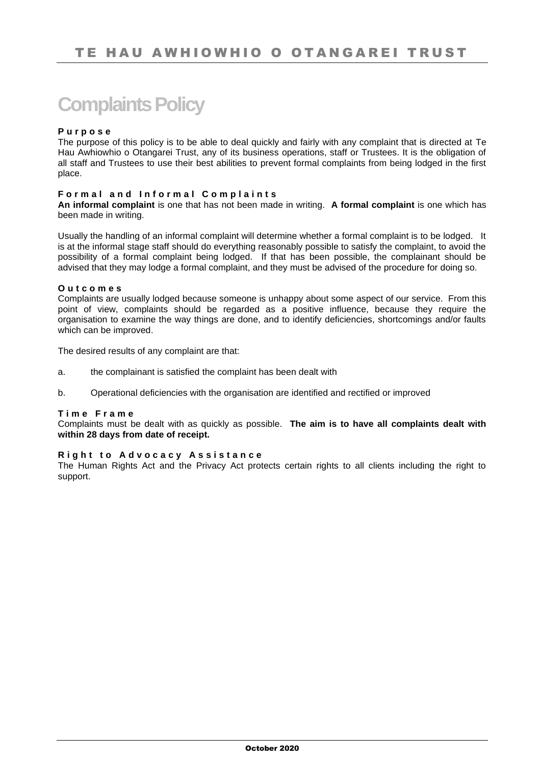# **Complaints Policy**

### **P u r p o s e**

The purpose of this policy is to be able to deal quickly and fairly with any complaint that is directed at Te Hau Awhiowhio o Otangarei Trust, any of its business operations, staff or Trustees. It is the obligation of all staff and Trustees to use their best abilities to prevent formal complaints from being lodged in the first place.

### **Formal and Informal Complaints**

**An informal complaint** is one that has not been made in writing. **A formal complaint** is one which has been made in writing.

Usually the handling of an informal complaint will determine whether a formal complaint is to be lodged. It is at the informal stage staff should do everything reasonably possible to satisfy the complaint, to avoid the possibility of a formal complaint being lodged. If that has been possible, the complainant should be advised that they may lodge a formal complaint, and they must be advised of the procedure for doing so.

#### **O u t c o m e s**

Complaints are usually lodged because someone is unhappy about some aspect of our service. From this point of view, complaints should be regarded as a positive influence, because they require the organisation to examine the way things are done, and to identify deficiencies, shortcomings and/or faults which can be improved.

The desired results of any complaint are that:

- a. the complainant is satisfied the complaint has been dealt with
- b. Operational deficiencies with the organisation are identified and rectified or improved

### **T i m e F r a m e**

Complaints must be dealt with as quickly as possible. **The aim is to have all complaints dealt with within 28 days from date of receipt.**

#### **Right to Advocacy Assistance**

The Human Rights Act and the Privacy Act protects certain rights to all clients including the right to support.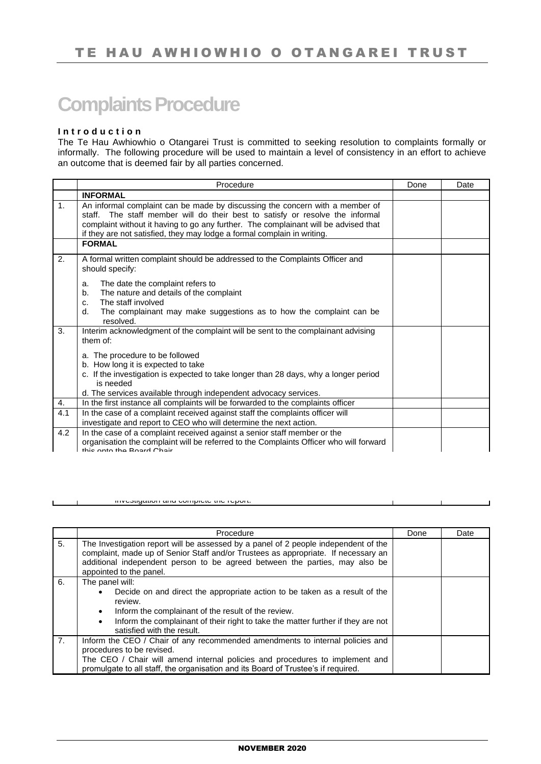# **Complaints Procedure**

## **I n t r o d u c t i o n**

 $\blacksquare$ 

The Te Hau Awhiowhio o Otangarei Trust is committed to seeking resolution to complaints formally or informally. The following procedure will be used to maintain a level of consistency in an effort to achieve an outcome that is deemed fair by all parties concerned.

|                | Procedure                                                                                                                                                                                                                                                                                                                       | Done | Date |
|----------------|---------------------------------------------------------------------------------------------------------------------------------------------------------------------------------------------------------------------------------------------------------------------------------------------------------------------------------|------|------|
|                | <b>INFORMAL</b>                                                                                                                                                                                                                                                                                                                 |      |      |
| $\mathbf{1}$ . | An informal complaint can be made by discussing the concern with a member of<br>staff. The staff member will do their best to satisfy or resolve the informal<br>complaint without it having to go any further. The complainant will be advised that<br>if they are not satisfied, they may lodge a formal complain in writing. |      |      |
|                | <b>FORMAL</b>                                                                                                                                                                                                                                                                                                                   |      |      |
| 2.             | A formal written complaint should be addressed to the Complaints Officer and<br>should specify:                                                                                                                                                                                                                                 |      |      |
|                | The date the complaint refers to<br>a.                                                                                                                                                                                                                                                                                          |      |      |
|                | The nature and details of the complaint<br>$b_{1}$                                                                                                                                                                                                                                                                              |      |      |
|                | The staff involved<br>C.                                                                                                                                                                                                                                                                                                        |      |      |
|                | The complainant may make suggestions as to how the complaint can be<br>d.<br>resolved.                                                                                                                                                                                                                                          |      |      |
| 3.             | Interim acknowledgment of the complaint will be sent to the complainant advising<br>them of:                                                                                                                                                                                                                                    |      |      |
|                | a. The procedure to be followed                                                                                                                                                                                                                                                                                                 |      |      |
|                | b. How long it is expected to take                                                                                                                                                                                                                                                                                              |      |      |
|                | c. If the investigation is expected to take longer than 28 days, why a longer period<br>is needed                                                                                                                                                                                                                               |      |      |
|                | d. The services available through independent advocacy services.                                                                                                                                                                                                                                                                |      |      |
| 4.             | In the first instance all complaints will be forwarded to the complaints officer                                                                                                                                                                                                                                                |      |      |
| 4.1            | In the case of a complaint received against staff the complaints officer will                                                                                                                                                                                                                                                   |      |      |
|                | investigate and report to CEO who will determine the next action.                                                                                                                                                                                                                                                               |      |      |
| 4.2            | In the case of a complaint received against a senior staff member or the                                                                                                                                                                                                                                                        |      |      |
|                | organisation the complaint will be referred to the Complaints Officer who will forward<br>this onto the Roard Chair                                                                                                                                                                                                             |      |      |

|                | Procedure                                                                                                                                                                                                                                                                                                                | Done | Date |
|----------------|--------------------------------------------------------------------------------------------------------------------------------------------------------------------------------------------------------------------------------------------------------------------------------------------------------------------------|------|------|
| 5.             | The Investigation report will be assessed by a panel of 2 people independent of the<br>complaint, made up of Senior Staff and/or Trustees as appropriate. If necessary an<br>additional independent person to be agreed between the parties, may also be<br>appointed to the panel.                                      |      |      |
| 6.             | The panel will:<br>Decide on and direct the appropriate action to be taken as a result of the<br>$\bullet$<br>review.<br>Inform the complainant of the result of the review.<br>$\bullet$<br>Inform the complainant of their right to take the matter further if they are not<br>$\bullet$<br>satisfied with the result. |      |      |
| 7 <sub>1</sub> | Inform the CEO / Chair of any recommended amendments to internal policies and<br>procedures to be revised.<br>The CEO / Chair will amend internal policies and procedures to implement and<br>promulgate to all staff, the organisation and its Board of Trustee's if required.                                          |      |      |

investigation and complete the report.